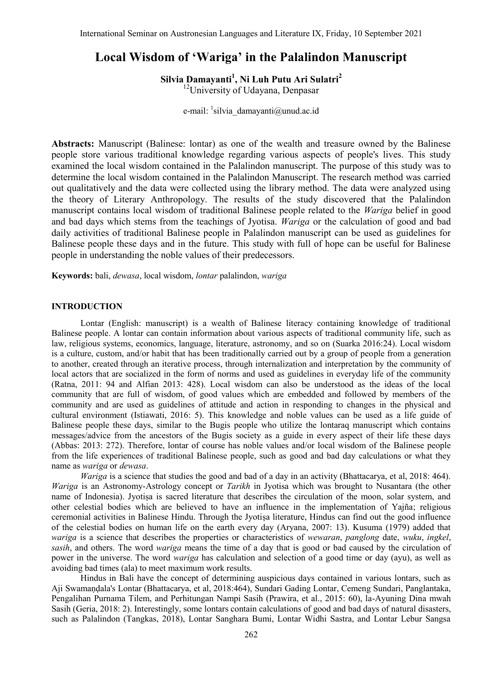# **Local Wisdom of 'Wariga' in the Palalindon Manuscript**

**Silvia Damayanti<sup>1</sup> , Ni Luh Putu Ari Sulatri<sup>2</sup>** <sup>12</sup>University of Udayana, Denpasar

e-mail: <sup>1</sup>silvia damayanti@unud.ac.id

**Abstracts:** Manuscript (Balinese: lontar) as one of the wealth and treasure owned by the Balinese people store various traditional knowledge regarding various aspects of people's lives. This study examined the local wisdom contained in the Palalindon manuscript. The purpose of this study was to determine the local wisdom contained in the Palalindon Manuscript. The research method was carried out qualitatively and the data were collected using the library method. The data were analyzed using the theory of Literary Anthropology. The results of the study discovered that the Palalindon manuscript contains local wisdom of traditional Balinese people related to the *Wariga* belief in good and bad days which stems from the teachings of Jyotisa. *Wariga* or the calculation of good and bad daily activities of traditional Balinese people in Palalindon manuscript can be used as guidelines for Balinese people these days and in the future. This study with full of hope can be useful for Balinese people in understanding the noble values of their predecessors.

**Keywords:** bali, *dewasa*, local wisdom, *lontar* palalindon, *wariga*

### **INTRODUCTION**

Lontar (English: manuscript) is a wealth of Balinese literacy containing knowledge of traditional Balinese people. A lontar can contain information about various aspects of traditional community life, such as law, religious systems, economics, language, literature, astronomy, and so on (Suarka 2016:24). Local wisdom is a culture, custom, and/or habit that has been traditionally carried out by a group of people from a generation to another, created through an iterative process, through internalization and interpretation by the community of local actors that are socialized in the form of norms and used as guidelines in everyday life of the community (Ratna, 2011: 94 and Alfian 2013: 428). Local wisdom can also be understood as the ideas of the local community that are full of wisdom, of good values which are embedded and followed by members of the community and are used as guidelines of attitude and action in responding to changes in the physical and cultural environment (Istiawati, 2016: 5). This knowledge and noble values can be used as a life guide of Balinese people these days, similar to the Bugis people who utilize the lontaraq manuscript which contains messages/advice from the ancestors of the Bugis society as a guide in every aspect of their life these days (Abbas: 2013: 272). Therefore, lontar of course has noble values and/or local wisdom of the Balinese people from the life experiences of traditional Balinese people, such as good and bad day calculations or what they name as *wariga* or *dewasa*.

*Wariga* is a science that studies the good and bad of a day in an activity (Bhattacarya, et al, 2018: 464). *Wariga* is an Astronomy-Astrology concept or *Tarikh* in Jyotisa which was brought to Nusantara (the other name of Indonesia). Jyotisa is sacred literature that describes the circulation of the moon, solar system, and other celestial bodies which are believed to have an influence in the implementation of Yajña; religious ceremonial activities in Balinese Hindu. Through the Jyotiṣa literature, Hindus can find out the good influence of the celestial bodies on human life on the earth every day (Aryana, 2007: 13). Kusuma (1979) added that *wariga* is a science that describes the properties or characteristics of *wewaran*, *panglong* date, *wuku*, *ingkel*, *sasih*, and others. The word *wariga* means the time of a day that is good or bad caused by the circulation of power in the universe. The word *wariga* has calculation and selection of a good time or day (ayu), as well as avoiding bad times (ala) to meet maximum work results.

Hindus in Bali have the concept of determining auspicious days contained in various lontars, such as Aji Swamaṇḍala's Lontar (Bhattacarya, et al, 2018:464), Sundari Gading Lontar, Cemeng Sundari, Panglantaka, Pengalihan Purnama Tilem, and Perhitungan Nampi Sasih (Prawira, et al., 2015: 60), la-Ayuning Dina mwah Sasih (Geria, 2018: 2). Interestingly, some lontars contain calculations of good and bad days of natural disasters, such as Palalindon (Tangkas, 2018), Lontar Sanghara Bumi, Lontar Widhi Sastra, and Lontar Lebur Sangsa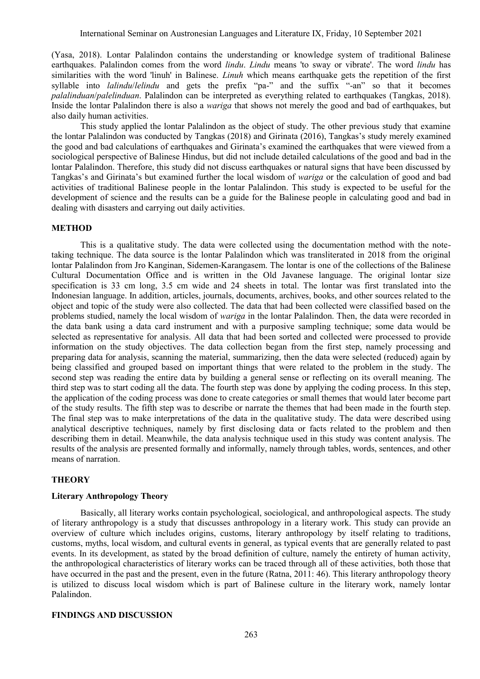(Yasa, 2018). Lontar Palalindon contains the understanding or knowledge system of traditional Balinese earthquakes. Palalindon comes from the word *lindu*. *Lindu* means 'to sway or vibrate'. The word *lindu* has similarities with the word 'linuh' in Balinese. *Linuh* which means earthquake gets the repetition of the first syllable into *lalindu*/*lelindu* and gets the prefix "pa-" and the suffix "-an" so that it becomes *palalinduan*/*palelinduan*. Palalindon can be interpreted as everything related to earthquakes (Tangkas, 2018). Inside the lontar Palalindon there is also a *wariga* that shows not merely the good and bad of earthquakes, but also daily human activities.

This study applied the lontar Palalindon as the object of study. The other previous study that examine the lontar Palalindon was conducted by Tangkas (2018) and Girinata (2016), Tangkas's study merely examined the good and bad calculations of earthquakes and Girinata's examined the earthquakes that were viewed from a sociological perspective of Balinese Hindus, but did not include detailed calculations of the good and bad in the lontar Palalindon. Therefore, this study did not discuss earthquakes or natural signs that have been discussed by Tangkas's and Girinata's but examined further the local wisdom of *wariga* or the calculation of good and bad activities of traditional Balinese people in the lontar Palalindon. This study is expected to be useful for the development of science and the results can be a guide for the Balinese people in calculating good and bad in dealing with disasters and carrying out daily activities.

# **METHOD**

This is a qualitative study. The data were collected using the documentation method with the notetaking technique. The data source is the lontar Palalindon which was transliterated in 2018 from the original lontar Palalindon from Jro Kanginan, Sidemen-Karangasem. The lontar is one of the collections of the Balinese Cultural Documentation Office and is written in the Old Javanese language. The original lontar size specification is 33 cm long, 3.5 cm wide and 24 sheets in total. The lontar was first translated into the Indonesian language. In addition, articles, journals, documents, archives, books, and other sources related to the object and topic of the study were also collected. The data that had been collected were classified based on the problems studied, namely the local wisdom of *wariga* in the lontar Palalindon. Then, the data were recorded in the data bank using a data card instrument and with a purposive sampling technique; some data would be selected as representative for analysis. All data that had been sorted and collected were processed to provide information on the study objectives. The data collection began from the first step, namely processing and preparing data for analysis, scanning the material, summarizing, then the data were selected (reduced) again by being classified and grouped based on important things that were related to the problem in the study. The second step was reading the entire data by building a general sense or reflecting on its overall meaning. The third step was to start coding all the data. The fourth step was done by applying the coding process. In this step, the application of the coding process was done to create categories or small themes that would later become part of the study results. The fifth step was to describe or narrate the themes that had been made in the fourth step. The final step was to make interpretations of the data in the qualitative study. The data were described using analytical descriptive techniques, namely by first disclosing data or facts related to the problem and then describing them in detail. Meanwhile, the data analysis technique used in this study was content analysis. The results of the analysis are presented formally and informally, namely through tables, words, sentences, and other means of narration.

# **THEORY**

# **Literary Anthropology Theory**

Basically, all literary works contain psychological, sociological, and anthropological aspects. The study of literary anthropology is a study that discusses anthropology in a literary work. This study can provide an overview of culture which includes origins, customs, literary anthropology by itself relating to traditions, customs, myths, local wisdom, and cultural events in general, as typical events that are generally related to past events. In its development, as stated by the broad definition of culture, namely the entirety of human activity, the anthropological characteristics of literary works can be traced through all of these activities, both those that have occurred in the past and the present, even in the future (Ratna, 2011: 46). This literary anthropology theory is utilized to discuss local wisdom which is part of Balinese culture in the literary work, namely lontar Palalindon.

## **FINDINGS AND DISCUSSION**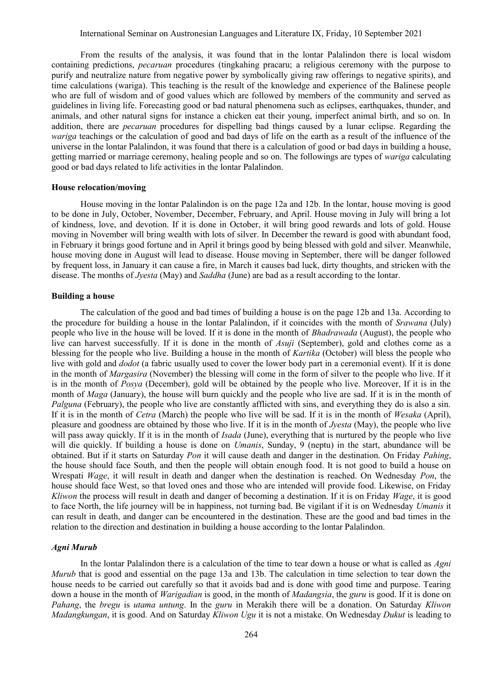From the results of the analysis, it was found that in the lontar Palalindon there is local wisdom containing predictions, *pecaruan* procedures (tingkahing pracaru; a religious ceremony with the purpose to purify and neutralize nature from negative power by symbolically giving raw offerings to negative spirits), and time calculations (wariga). This teaching is the result of the knowledge and experience of the Balinese people who are full of wisdom and of good values which are followed by members of the community and served as guidelines in living life. Forecasting good or bad natural phenomena such as eclipses, earthquakes, thunder, and animals, and other natural signs for instance a chicken eat their young, imperfect animal birth, and so on. In addition, there are *pecaruan* procedures for dispelling bad things caused by a lunar eclipse. Regarding the *wariga* teachings or the calculation of good and bad days of life on the earth as a result of the influence of the universe in the lontar Palalindon, it was found that there is a calculation of good or bad days in building a house, getting married or marriage ceremony, healing people and so on. The followings are types of *wariga* calculating good or bad days related to life activities in the lontar Palalindon.

### **House relocation/moving**

House moving in the lontar Palalindon is on the page 12a and 12b. In the lontar, house moving is good to be done in July, October, November, December, February, and April. House moving in July will bring a lot of kindness, love, and devotion. If it is done in October, it will bring good rewards and lots of gold. House moving in November will bring wealth with lots of silver. In December the reward is good with abundant food, in February it brings good fortune and in April it brings good by being blessed with gold and silver. Meanwhile, house moving done in August will lead to disease. House moving in September, there will be danger followed by frequent loss, in January it can cause a fire, in March it causes bad luck, dirty thoughts, and stricken with the disease. The months of *Jyesta* (May) and *Saddha* (June) are bad as a result according to the lontar.

# **Building a house**

The calculation of the good and bad times of building a house is on the page 12b and 13a. According to the procedure for building a house in the lontar Palalindon, if it coincides with the month of *Srawana* (July) people who live in the house will be loved. If it is done in the month of *Bhadrawada* (August), the people who live can harvest successfully. If it is done in the month of *Asuji* (September), gold and clothes come as a blessing for the people who live. Building a house in the month of *Kartika* (October) will bless the people who live with gold and *dodot* (a fabric usually used to cover the lower body part in a ceremonial event). If it is done in the month of *Margasira* (November) the blessing will come in the form of silver to the people who live. If it is in the month of *Posya* (December), gold will be obtained by the people who live. Moreover, If it is in the month of *Maga* (January), the house will burn quickly and the people who live are sad. If it is in the month of *Palguna* (February), the people who live are constantly afflicted with sins, and everything they do is also a sin. If it is in the month of *Cetra* (March) the people who live will be sad. If it is in the month of *Wesaka* (April), pleasure and goodness are obtained by those who live. If it is in the month of *Jyesta* (May), the people who live will pass away quickly. If it is in the month of *Isada* (June), everything that is nurtured by the people who live will die quickly. If building a house is done on *Umanis*, Sunday, 9 (neptu) in the start, abundance will be obtained. But if it starts on Saturday *Pon* it will cause death and danger in the destination. On Friday *Pahing*, the house should face South, and then the people will obtain enough food. It is not good to build a house on Wrespati *Wage*, it will result in death and danger when the destination is reached. On Wednesday *Pon*, the house should face West, so that loved ones and those who are intended will provide food. Likewise, on Friday *Kliwon* the process will result in death and danger of becoming a destination. If it is on Friday *Wage*, it is good to face North, the life journey will be in happiness, not turning bad. Be vigilant if it is on Wednesday *Umanis* it can result in death, and danger can be encountered in the destination. These are the good and bad times in the relation to the direction and destination in building a house according to the lontar Palalindon.

### *Agni Murub*

In the lontar Palalindon there is a calculation of the time to tear down a house or what is called as *Agni Murub* that is good and essential on the page 13a and 13b. The calculation in time selection to tear down the house needs to be carried out carefully so that it avoids bad and is done with good time and purpose. Tearing down a house in the month of *Warigadian* is good, in the month of *Madangsia*, the *guru* is good. If it is done on *Pahang*, the *bregu* is *utama untung*. In the *guru* in Merakih there will be a donation. On Saturday *Kliwon Madangkungan*, it is good. And on Saturday *Kliwon Ugu* it is not a mistake. On Wednesday *Dukut* is leading to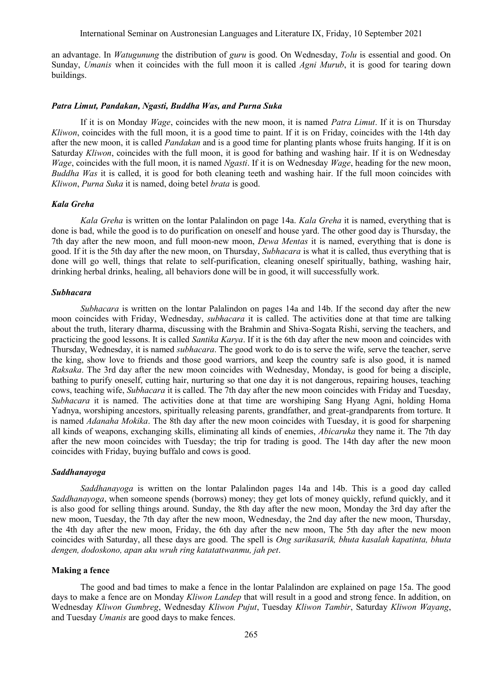an advantage. In *Watugunung* the distribution of *guru* is good. On Wednesday, *Tolu* is essential and good. On Sunday, *Umanis* when it coincides with the full moon it is called *Agni Murub*, it is good for tearing down buildings.

#### *Patra Limut, Pandakan, Ngasti, Buddha Was, and Purna Suka*

If it is on Monday *Wage*, coincides with the new moon, it is named *Patra Limut*. If it is on Thursday *Kliwon*, coincides with the full moon, it is a good time to paint. If it is on Friday, coincides with the 14th day after the new moon, it is called *Pandakan* and is a good time for planting plants whose fruits hanging. If it is on Saturday *Kliwon*, coincides with the full moon, it is good for bathing and washing hair. If it is on Wednesday *Wage*, coincides with the full moon, it is named *Ngasti*. If it is on Wednesday *Wage*, heading for the new moon, *Buddha Was* it is called, it is good for both cleaning teeth and washing hair. If the full moon coincides with *Kliwon*, *Purna Suka* it is named, doing betel *brata* is good.

### *Kala Greha*

*Kala Greha* is written on the lontar Palalindon on page 14a. *Kala Greha* it is named, everything that is done is bad, while the good is to do purification on oneself and house yard. The other good day is Thursday, the 7th day after the new moon, and full moon-new moon, *Dewa Mentas* it is named, everything that is done is good. If it is the 5th day after the new moon, on Thursday, *Subhacara* is what it is called, thus everything that is done will go well, things that relate to self-purification, cleaning oneself spiritually, bathing, washing hair, drinking herbal drinks, healing, all behaviors done will be in good, it will successfully work.

### *Subhacara*

*Subhacara* is written on the lontar Palalindon on pages 14a and 14b. If the second day after the new moon coincides with Friday, Wednesday, *subhacara* it is called. The activities done at that time are talking about the truth, literary dharma, discussing with the Brahmin and Shiva-Sogata Rishi, serving the teachers, and practicing the good lessons. It is called *Santika Karya*. If it is the 6th day after the new moon and coincides with Thursday, Wednesday, it is named *subhacara*. The good work to do is to serve the wife, serve the teacher, serve the king, show love to friends and those good warriors, and keep the country safe is also good, it is named *Raksaka*. The 3rd day after the new moon coincides with Wednesday, Monday, is good for being a disciple, bathing to purify oneself, cutting hair, nurturing so that one day it is not dangerous, repairing houses, teaching cows, teaching wife, *Subhacara* it is called. The 7th day after the new moon coincides with Friday and Tuesday, *Subhacara* it is named. The activities done at that time are worshiping Sang Hyang Agni, holding Homa Yadnya, worshiping ancestors, spiritually releasing parents, grandfather, and great-grandparents from torture. It is named *Adanaha Mokika*. The 8th day after the new moon coincides with Tuesday, it is good for sharpening all kinds of weapons, exchanging skills, eliminating all kinds of enemies, *Abicaruka* they name it. The 7th day after the new moon coincides with Tuesday; the trip for trading is good. The 14th day after the new moon coincides with Friday, buying buffalo and cows is good.

#### *Saddhanayoga*

*Saddhanayoga* is written on the lontar Palalindon pages 14a and 14b. This is a good day called *Saddhanayoga*, when someone spends (borrows) money; they get lots of money quickly, refund quickly, and it is also good for selling things around. Sunday, the 8th day after the new moon, Monday the 3rd day after the new moon, Tuesday, the 7th day after the new moon, Wednesday, the 2nd day after the new moon, Thursday, the 4th day after the new moon, Friday, the 6th day after the new moon, The 5th day after the new moon coincides with Saturday, all these days are good. The spell is *Ong sarikasarik, bhuta kasalah kapatinta, bhuta dengen, dodoskono, apan aku wruh ring katatattwanmu, jah pet*.

# **Making a fence**

The good and bad times to make a fence in the lontar Palalindon are explained on page 15a. The good days to make a fence are on Monday *Kliwon Landep* that will result in a good and strong fence. In addition, on Wednesday *Kliwon Gumbreg*, Wednesday *Kliwon Pujut*, Tuesday *Kliwon Tambir*, Saturday *Kliwon Wayang*, and Tuesday *Umanis* are good days to make fences.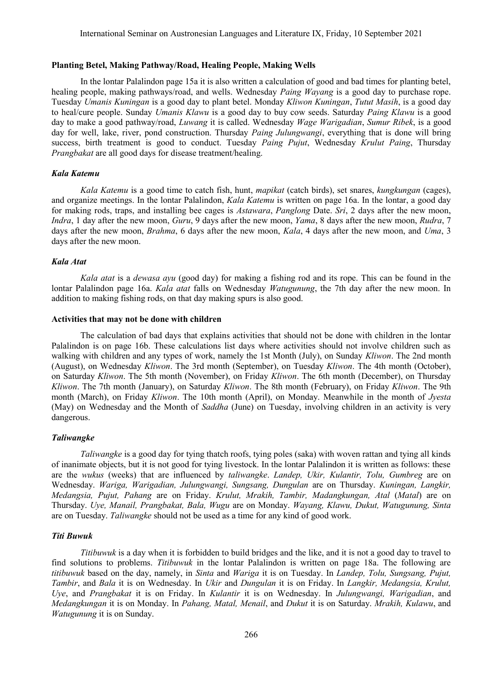# **Planting Betel, Making Pathway/Road, Healing People, Making Wells**

In the lontar Palalindon page 15a it is also written a calculation of good and bad times for planting betel, healing people, making pathways/road, and wells. Wednesday *Paing Wayang* is a good day to purchase rope. Tuesday *Umanis Kuningan* is a good day to plant betel. Monday *Kliwon Kuningan*, *Tutut Masih*, is a good day to heal/cure people. Sunday *Umanis Klawu* is a good day to buy cow seeds. Saturday *Paing Klawu* is a good day to make a good pathway/road, *Luwang* it is called. Wednesday *Wage Warigadian*, *Sumur Ribek*, is a good day for well, lake, river, pond construction. Thursday *Paing Julungwangi*, everything that is done will bring success, birth treatment is good to conduct. Tuesday *Paing Pujut*, Wednesday *Krulut Paing*, Thursday *Prangbakat* are all good days for disease treatment/healing.

# *Kala Katemu*

*Kala Katemu* is a good time to catch fish, hunt, *mapikat* (catch birds), set snares, *kungkungan* (cages), and organize meetings. In the lontar Palalindon, *Kala Katemu* is written on page 16a. In the lontar, a good day for making rods, traps, and installing bee cages is *Astawara*, *Panglong* Date. *Sri*, 2 days after the new moon, *Indra*, 1 day after the new moon, *Guru*, 9 days after the new moon, *Yama*, 8 days after the new moon, *Rudra*, 7 days after the new moon, *Brahma*, 6 days after the new moon, *Kala*, 4 days after the new moon, and *Uma*, 3 days after the new moon.

# *Kala Atat*

*Kala atat* is a *dewasa ayu* (good day) for making a fishing rod and its rope. This can be found in the lontar Palalindon page 16a. *Kala atat* falls on Wednesday *Watugunung*, the 7th day after the new moon. In addition to making fishing rods, on that day making spurs is also good.

### **Activities that may not be done with children**

The calculation of bad days that explains activities that should not be done with children in the lontar Palalindon is on page 16b. These calculations list days where activities should not involve children such as walking with children and any types of work, namely the 1st Month (July), on Sunday *Kliwon*. The 2nd month (August), on Wednesday *Kliwon*. The 3rd month (September), on Tuesday *Kliwon*. The 4th month (October), on Saturday *Kliwon*. The 5th month (November), on Friday *Kliwon*. The 6th month (December), on Thursday *Kliwon*. The 7th month (January), on Saturday *Kliwon*. The 8th month (February), on Friday *Kliwon*. The 9th month (March), on Friday *Kliwon*. The 10th month (April), on Monday. Meanwhile in the month of *Jyesta* (May) on Wednesday and the Month of *Saddha* (June) on Tuesday, involving children in an activity is very dangerous.

# *Taliwangke*

*Taliwangke* is a good day for tying thatch roofs, tying poles (saka) with woven rattan and tying all kinds of inanimate objects, but it is not good for tying livestock. In the lontar Palalindon it is written as follows: these are the *wukus* (weeks) that are influenced by *taliwangke*. *Landep, Ukir, Kulantir, Tolu, Gumbreg* are on Wednesday. *Wariga, Warigadian, Julungwangi, Sungsang, Dungulan* are on Thursday. *Kuningan, Langkir, Medangsia, Pujut, Pahang* are on Friday. *Krulut, Mrakih, Tambir, Madangkungan, Atal* (*Matal*) are on Thursday. *Uye, Manail, Prangbakat, Bala, Wugu* are on Monday. *Wayang, Klawu, Dukut, Watugunung, Sinta* are on Tuesday. *Taliwangke* should not be used as a time for any kind of good work.

# *Titi Buwuk*

*Titibuwuk* is a day when it is forbidden to build bridges and the like, and it is not a good day to travel to find solutions to problems. *Titibuwuk* in the lontar Palalindon is written on page 18a. The following are *titibuwuk* based on the day, namely, in *Sinta* and *Wariga* it is on Tuesday. In *Landep, Tolu, Sungsang, Pujut, Tambir*, and *Bala* it is on Wednesday. In *Ukir* and *Dungulan* it is on Friday. In *Langkir, Medangsia, Krulut, Uye*, and *Prangbakat* it is on Friday. In *Kulantir* it is on Wednesday. In *Julungwangi, Warigadian*, and *Medangkungan* it is on Monday. In *Pahang, Matal, Menail*, and *Dukut* it is on Saturday. *Mrakih, Kulawu*, and *Watugunung* it is on Sunday.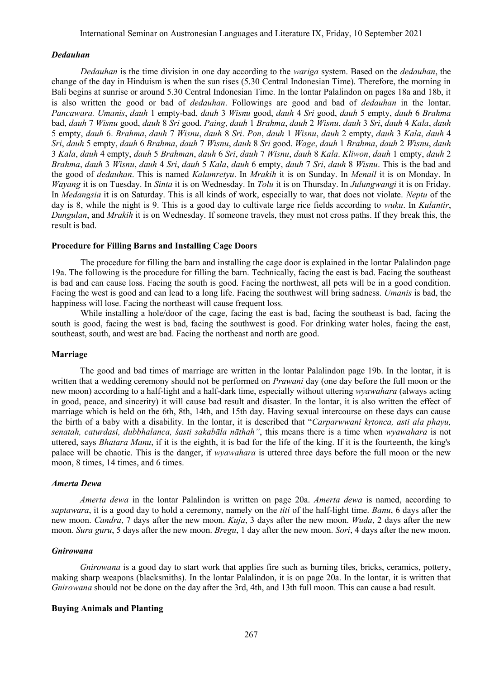### *Dedauhan*

*Dedauhan* is the time division in one day according to the *wariga* system. Based on the *dedauhan*, the change of the day in Hinduism is when the sun rises (5.30 Central Indonesian Time). Therefore, the morning in Bali begins at sunrise or around 5.30 Central Indonesian Time. In the lontar Palalindon on pages 18a and 18b, it is also written the good or bad of *dedauhan*. Followings are good and bad of *dedauhan* in the lontar. *Pancawara. Umanis*, *dauh* 1 empty-bad, *dauh* 3 *Wisnu* good, *dauh* 4 *Sri* good, *dauh* 5 empty, *dauh* 6 *Brahma* bad, *dauh* 7 *Wisnu* good, *dauh* 8 *Sri* good. *Paing*, *dauh* 1 *Brahma*, *dauh* 2 *Wisnu*, *dauh* 3 *Sri*, *dauh* 4 *Kala*, *dauh* 5 empty, *dauh* 6. *Brahma*, *dauh* 7 *Wisnu*, *dauh* 8 *Sri*. *Pon*, *dauh* 1 *Wisnu*, *dauh* 2 empty, *dauh* 3 *Kala*, *dauh* 4 *Sri*, *dauh* 5 empty, *dauh* 6 *Brahma*, *dauh* 7 *Wisnu*, *dauh* 8 *Sri* good. *Wage*, *dauh* 1 *Brahma*, *dauh* 2 *Wisnu*, *dauh* 3 *Kala*, *dauh* 4 empty, *dauh* 5 *Brahman*, *dauh* 6 *Sri*, *dauh* 7 *Wisnu*, *dauh* 8 *Kala*. *Kliwon*, *dauh* 1 empty, *dauh* 2 *Brahma*, *dauh* 3 *Wisnu*, *dauh* 4 *Sri*, *dauh* 5 *Kala*, *dauh* 6 empty, *dauh* 7 *Sri*, *dauh* 8 *Wisnu*. This is the bad and the good of *dedauhan*. This is named *Kalamretyu*. In *Mrakih* it is on Sunday. In *Menail* it is on Monday. In *Wayang* it is on Tuesday. In *Sinta* it is on Wednesday. In *Tolu* it is on Thursday. In *Julungwangi* it is on Friday. In *Medangsia* it is on Saturday. This is all kinds of work, especially to war, that does not violate. *Neptu* of the day is 8, while the night is 9. This is a good day to cultivate large rice fields according to *wuku*. In *Kulantir*, *Dungulan*, and *Mrakih* it is on Wednesday. If someone travels, they must not cross paths. If they break this, the result is bad.

### **Procedure for Filling Barns and Installing Cage Doors**

The procedure for filling the barn and installing the cage door is explained in the lontar Palalindon page 19a. The following is the procedure for filling the barn. Technically, facing the east is bad. Facing the southeast is bad and can cause loss. Facing the south is good. Facing the northwest, all pets will be in a good condition. Facing the west is good and can lead to a long life. Facing the southwest will bring sadness. *Umanis* is bad, the happiness will lose. Facing the northeast will cause frequent loss.

While installing a hole/door of the cage, facing the east is bad, facing the southeast is bad, facing the south is good, facing the west is bad, facing the southwest is good. For drinking water holes, facing the east, southeast, south, and west are bad. Facing the northeast and north are good.

#### **Marriage**

The good and bad times of marriage are written in the lontar Palalindon page 19b. In the lontar, it is written that a wedding ceremony should not be performed on *Prawani* day (one day before the full moon or the new moon) according to a half-light and a half-dark time, especially without uttering *wyawahara* (always acting in good, peace, and sincerity) it will cause bad result and disaster. In the lontar, it is also written the effect of marriage which is held on the 6th, 8th, 14th, and 15th day. Having sexual intercourse on these days can cause the birth of a baby with a disability. In the lontar, it is described that "*Carparwwani kṛtonca, asti ala phayu, senatah, caturdasi, dubbhalanca, śasti sakabāla nāthah"*, this means there is a time when *wyawahara* is not uttered, says *Bhatara Manu*, if it is the eighth, it is bad for the life of the king. If it is the fourteenth, the king's palace will be chaotic. This is the danger, if *wyawahara* is uttered three days before the full moon or the new moon, 8 times, 14 times, and 6 times.

### *Amerta Dewa*

*Amerta dewa* in the lontar Palalindon is written on page 20a. *Amerta dewa* is named, according to *saptawara*, it is a good day to hold a ceremony, namely on the *titi* of the half-light time. *Banu*, 6 days after the new moon. *Candra*, 7 days after the new moon. *Kuja*, 3 days after the new moon. *Wuda*, 2 days after the new moon. *Sura guru*, 5 days after the new moon. *Bregu*, 1 day after the new moon. *Sori*, 4 days after the new moon.

# *Gnirowana*

*Gnirowana* is a good day to start work that applies fire such as burning tiles, bricks, ceramics, pottery, making sharp weapons (blacksmiths). In the lontar Palalindon, it is on page 20a. In the lontar, it is written that *Gnirowana* should not be done on the day after the 3rd, 4th, and 13th full moon. This can cause a bad result.

# **Buying Animals and Planting**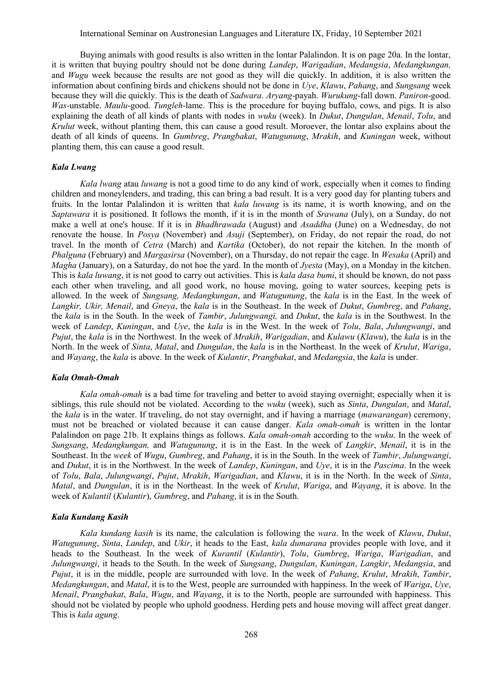Buying animals with good results is also written in the lontar Palalindon. It is on page 20a. In the lontar, it is written that buying poultry should not be done during *Landep*, *Warigadian*, *Medangsia*, *Medangkungan,* and *Wugu* week because the results are not good as they will die quickly. In addition, it is also written the information about confining birds and chickens should not be done in *Uye*, *Klawu*, *Pahang*, and *Sungsang* week because they will die quickly. This is the death of *Sadwara*. *Aryang*-payah. *Wurukung*-fall down. *Paniron*-good. *Was*-unstable. *Maulu*-good. *Tungleh*-lame. This is the procedure for buying buffalo, cows, and pigs. It is also explaining the death of all kinds of plants with nodes in *wuku* (week). In *Dukut*, *Dungulan*, *Menail*, *Tolu*, and *Krulut* week, without planting them, this can cause a good result. Moroever, the lontar also explains about the death of all kinds of queens. In *Gumbreg*, *Prangbakat*, *Watugunung*, *Mrakih*, and *Kuningan* week, without planting them, this can cause a good result.

### *Kala Lwang*

*Kala lwang* atau *luwang* is not a good time to do any kind of work, especially when it comes to finding children and moneylenders, and trading, this can bring a bad result. It is a very good day for planting tubers and fruits. In the lontar Palalindon it is written that *kala luwang* is its name, it is worth knowing, and on the *Saptawara* it is positioned. It follows the month, if it is in the month of *Srawana* (July), on a Sunday, do not make a well at one's house. If it is in *Bhadhrawada* (August) and *Asaddha* (June) on a Wednesday, do not renovate the house. In *Posya* (November) and *Asuji* (September), on Friday, do not repair the road, do not travel. In the month of *Cetra* (March) and *Kartika* (October), do not repair the kitchen. In the month of *Phalguna* (February) and *Margasirsa* (November), on a Thursday, do not repair the cage. In *Wesaka* (April) and *Magha* (January), on a Saturday, do not hoe the yard. In the month of *Jyesta* (May), on a Monday in the kitchen. This is *kala luwang*, it is not good to carry out activities. This is *kala dasa bumi*, it should be known, do not pass each other when traveling, and all good work, no house moving, going to water sources, keeping pets is allowed. In the week of *Sungsang, Medangkungan*, and *Watugunung*, the *kala* is in the East. In the week of *Langkir, Ukir, Menail*, and *Gneya*, the *kala* is in the Southeast. In the week of *Dukut*, *Gumbreg*, and *Pahang*, the *kala* is in the South. In the week of *Tambir*, *Julungwangi,* and *Dukut*, the *kala* is in the Southwest. In the week of *Landep*, *Kuningan*, and *Uye*, the *kala* is in the West. In the week of *Tolu*, *Bala*, *Julungwangi*, and *Pujut*, the *kala* is in the Northwest. In the week of *Mrakih*, *Warigadian*, and *Kulawu* (*Klawu*), the *kala* is in the North. In the week of *Sinta*, *Matal*, and *Dungulan*, the *kala* is in the Northeast. In the week of *Krulut*, *Wariga*, and *Wayang*, the *kala* is above. In the week of *Kulantir*, *Prangbakat*, and *Medangsia*, the *kala* is under.

### *Kala Omah-Omah*

*Kala omah-omah* is a bad time for traveling and better to avoid staying overnight; especially when it is siblings, this rule should not be violated. According to the *wuku* (week), such as *Sinta*, *Dungulan*, and *Matal*, the *kala* is in the water. If traveling, do not stay overnight, and if having a marriage (*mawarangan*) ceremony, must not be breached or violated because it can cause danger. *Kala omah-omah* is written in the lontar Palalindon on page 21b. It explains things as follows. *Kala omah-omah* according to the *wuku*. In the week of *Sungsang*, *Medangkungan,* and *Watugunung*, it is in the East. In the week of *Langkir*, *Menail*, it is in the Southeast. In the *week* of *Wugu*, *Gumbreg*, and *Pahang*, it is in the South. In the week of *Tambir*, *Julungwangi*, and *Dukut*, it is in the Northwest. In the week of *Landep*, *Kuningan*, and *Uye*, it is in the *Pascima*. In the week of *Tolu*, *Bala*, *Julungwangi*, *Pujut*, *Mrakih*, *Warigadian*, and *Klawu*, it is in the North. In the week of *Sinta*, *Matal*, and *Dungulan*, it is in the Northeast. In the week of *Krulut*, *Wariga*, and *Wayang*, it is above. In the week of *Kulantil* (*Kulantir*), *Gumbreg*, and *Pahang*, it is in the South.

#### *Kala Kundang Kasih*

*Kala kundang kasih* is its name, the calculation is following the *wara*. In the week of *Klawu*, *Dukut*, *Watugunung*, *Sinta*, *Landep*, and *Ukir*, it heads to the East, *kala dumarana* provides people with love, and it heads to the Southeast. In the week of *Kurantil* (*Kulantir*), *Tolu*, *Gumbreg*, *Wariga*, *Warigadian*, and *Julungwangi*, it heads to the South. In the week of *Sungsang*, *Dungulan*, *Kuningan*, *Langkir*, *Medangsia*, and *Pujut*, it is in the middle, people are surrounded with love. In the week of *Pahang*, *Krulut*, *Mrakih*, *Tambir*, *Medangkungan*, and *Matal*, it is to the West, people are surrounded with happiness. In the week of *Wariga*, *Uye*, *Menail*, *Prangbakat*, *Bala*, *Wugu*, and *Wayang*, it is to the North, people are surrounded with happiness. This should not be violated by people who uphold goodness. Herding pets and house moving will affect great danger. This is *kala agung*.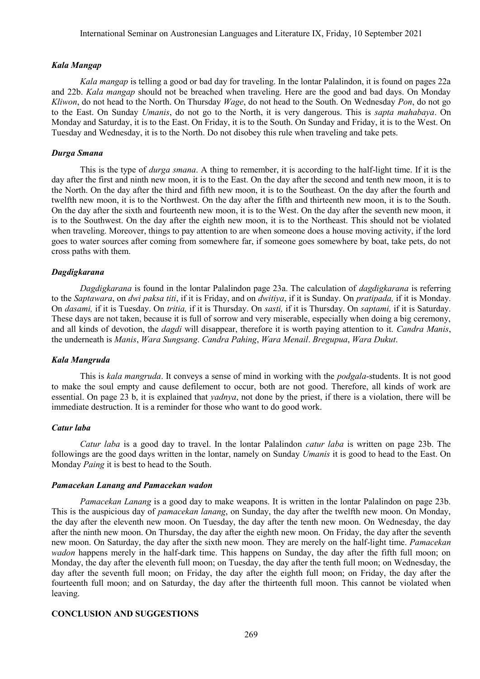### *Kala Mangap*

*Kala mangap* is telling a good or bad day for traveling. In the lontar Palalindon, it is found on pages 22a and 22b. *Kala mangap* should not be breached when traveling. Here are the good and bad days. On Monday *Kliwon*, do not head to the North. On Thursday *Wage*, do not head to the South. On Wednesday *Pon*, do not go to the East. On Sunday *Umanis*, do not go to the North, it is very dangerous. This is *sapta mahabaya*. On Monday and Saturday, it is to the East. On Friday, it is to the South. On Sunday and Friday, it is to the West. On Tuesday and Wednesday, it is to the North. Do not disobey this rule when traveling and take pets.

### *Durga Smana*

This is the type of *durga smana*. A thing to remember, it is according to the half-light time. If it is the day after the first and ninth new moon, it is to the East. On the day after the second and tenth new moon, it is to the North. On the day after the third and fifth new moon, it is to the Southeast. On the day after the fourth and twelfth new moon, it is to the Northwest. On the day after the fifth and thirteenth new moon, it is to the South. On the day after the sixth and fourteenth new moon, it is to the West. On the day after the seventh new moon, it is to the Southwest. On the day after the eighth new moon, it is to the Northeast. This should not be violated when traveling. Moreover, things to pay attention to are when someone does a house moving activity, if the lord goes to water sources after coming from somewhere far, if someone goes somewhere by boat, take pets, do not cross paths with them.

### *Dagdigkarana*

*Dagdigkarana* is found in the lontar Palalindon page 23a. The calculation of *dagdigkarana* is referring to the *Saptawara*, on *dwi paksa titi*, if it is Friday, and on *dwitiya*, if it is Sunday. On *pratipada,* if it is Monday. On *dasami,* if it is Tuesday. On *tritia,* if it is Thursday. On *sasti,* if it is Thursday. On *saptami,* if it is Saturday. These days are not taken, because it is full of sorrow and very miserable, especially when doing a big ceremony, and all kinds of devotion, the *dagdi* will disappear, therefore it is worth paying attention to it. *Candra Manis*, the underneath is *Manis*, *Wara Sungsang*. *Candra Pahing*, *Wara Menail*. *Bregupua*, *Wara Dukut*.

### *Kala Mangruda*

This is *kala mangruda*. It conveys a sense of mind in working with the *podgala*-students. It is not good to make the soul empty and cause defilement to occur, both are not good. Therefore, all kinds of work are essential. On page 23 b, it is explained that *yadnya*, not done by the priest, if there is a violation, there will be immediate destruction. It is a reminder for those who want to do good work.

#### *Catur laba*

*Catur laba* is a good day to travel. In the lontar Palalindon *catur laba* is written on page 23b. The followings are the good days written in the lontar, namely on Sunday *Umanis* it is good to head to the East. On Monday *Paing* it is best to head to the South.

# *Pamacekan Lanang and Pamacekan wadon*

*Pamacekan Lanang* is a good day to make weapons. It is written in the lontar Palalindon on page 23b. This is the auspicious day of *pamacekan lanang*, on Sunday, the day after the twelfth new moon. On Monday, the day after the eleventh new moon. On Tuesday, the day after the tenth new moon. On Wednesday, the day after the ninth new moon. On Thursday, the day after the eighth new moon. On Friday, the day after the seventh new moon. On Saturday, the day after the sixth new moon. They are merely on the half-light time. *Pamacekan wadon* happens merely in the half-dark time. This happens on Sunday, the day after the fifth full moon; on Monday, the day after the eleventh full moon; on Tuesday, the day after the tenth full moon; on Wednesday, the day after the seventh full moon; on Friday, the day after the eighth full moon; on Friday, the day after the fourteenth full moon; and on Saturday, the day after the thirteenth full moon. This cannot be violated when leaving.

# **CONCLUSION AND SUGGESTIONS**